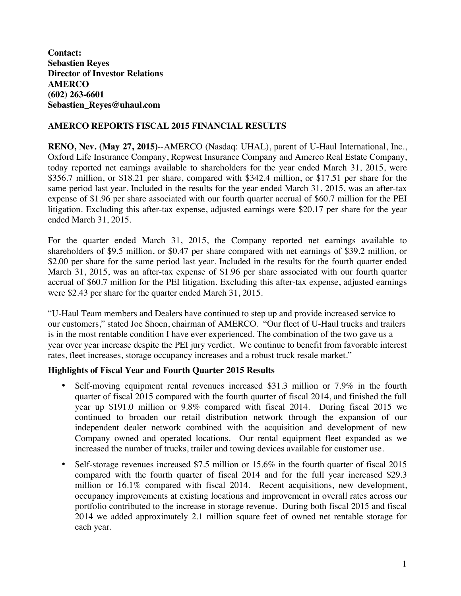**Contact: Sebastien Reyes Director of Investor Relations AMERCO (602) 263-6601 Sebastien\_Reyes@uhaul.com**

## **AMERCO REPORTS FISCAL 2015 FINANCIAL RESULTS**

**RENO, Nev. (May 27, 2015)**--AMERCO (Nasdaq: UHAL), parent of U-Haul International, Inc., Oxford Life Insurance Company, Repwest Insurance Company and Amerco Real Estate Company, today reported net earnings available to shareholders for the year ended March 31, 2015, were \$356.7 million, or \$18.21 per share, compared with \$342.4 million, or \$17.51 per share for the same period last year. Included in the results for the year ended March 31, 2015, was an after-tax expense of \$1.96 per share associated with our fourth quarter accrual of \$60.7 million for the PEI litigation. Excluding this after-tax expense, adjusted earnings were \$20.17 per share for the year ended March 31, 2015.

For the quarter ended March 31, 2015, the Company reported net earnings available to shareholders of \$9.5 million, or \$0.47 per share compared with net earnings of \$39.2 million, or \$2.00 per share for the same period last year. Included in the results for the fourth quarter ended March 31, 2015, was an after-tax expense of \$1.96 per share associated with our fourth quarter accrual of \$60.7 million for the PEI litigation. Excluding this after-tax expense, adjusted earnings were \$2.43 per share for the quarter ended March 31, 2015.

"U-Haul Team members and Dealers have continued to step up and provide increased service to our customers," stated Joe Shoen, chairman of AMERCO. "Our fleet of U-Haul trucks and trailers is in the most rentable condition I have ever experienced. The combination of the two gave us a year over year increase despite the PEI jury verdict. We continue to benefit from favorable interest rates, fleet increases, storage occupancy increases and a robust truck resale market."

#### **Highlights of Fiscal Year and Fourth Quarter 2015 Results**

- Self-moving equipment rental revenues increased \$31.3 million or 7.9% in the fourth quarter of fiscal 2015 compared with the fourth quarter of fiscal 2014, and finished the full year up \$191.0 million or 9.8% compared with fiscal 2014. During fiscal 2015 we continued to broaden our retail distribution network through the expansion of our independent dealer network combined with the acquisition and development of new Company owned and operated locations. Our rental equipment fleet expanded as we increased the number of trucks, trailer and towing devices available for customer use.
- Self-storage revenues increased \$7.5 million or 15.6% in the fourth quarter of fiscal 2015 compared with the fourth quarter of fiscal 2014 and for the full year increased \$29.3 million or 16.1% compared with fiscal 2014. Recent acquisitions, new development, occupancy improvements at existing locations and improvement in overall rates across our portfolio contributed to the increase in storage revenue. During both fiscal 2015 and fiscal 2014 we added approximately 2.1 million square feet of owned net rentable storage for each year.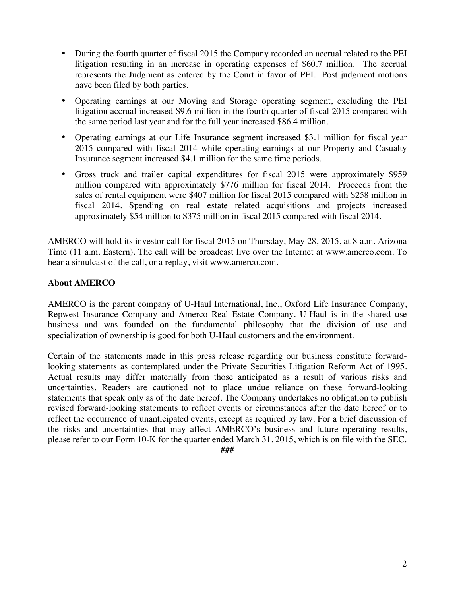- During the fourth quarter of fiscal 2015 the Company recorded an accrual related to the PEI litigation resulting in an increase in operating expenses of \$60.7 million. The accrual represents the Judgment as entered by the Court in favor of PEI. Post judgment motions have been filed by both parties.
- Operating earnings at our Moving and Storage operating segment, excluding the PEI litigation accrual increased \$9.6 million in the fourth quarter of fiscal 2015 compared with the same period last year and for the full year increased \$86.4 million.
- Operating earnings at our Life Insurance segment increased \$3.1 million for fiscal year 2015 compared with fiscal 2014 while operating earnings at our Property and Casualty Insurance segment increased \$4.1 million for the same time periods.
- Gross truck and trailer capital expenditures for fiscal 2015 were approximately \$959 million compared with approximately \$776 million for fiscal 2014. Proceeds from the sales of rental equipment were \$407 million for fiscal 2015 compared with \$258 million in fiscal 2014. Spending on real estate related acquisitions and projects increased approximately \$54 million to \$375 million in fiscal 2015 compared with fiscal 2014.

AMERCO will hold its investor call for fiscal 2015 on Thursday, May 28, 2015, at 8 a.m. Arizona Time (11 a.m. Eastern). The call will be broadcast live over the Internet at www.amerco.com. To hear a simulcast of the call, or a replay, visit www.amerco.com.

# **About AMERCO**

AMERCO is the parent company of U-Haul International, Inc., Oxford Life Insurance Company, Repwest Insurance Company and Amerco Real Estate Company. U-Haul is in the shared use business and was founded on the fundamental philosophy that the division of use and specialization of ownership is good for both U-Haul customers and the environment.

Certain of the statements made in this press release regarding our business constitute forwardlooking statements as contemplated under the Private Securities Litigation Reform Act of 1995. Actual results may differ materially from those anticipated as a result of various risks and uncertainties. Readers are cautioned not to place undue reliance on these forward-looking statements that speak only as of the date hereof. The Company undertakes no obligation to publish revised forward-looking statements to reflect events or circumstances after the date hereof or to reflect the occurrence of unanticipated events, except as required by law. For a brief discussion of the risks and uncertainties that may affect AMERCO's business and future operating results, please refer to our Form 10-K for the quarter ended March 31, 2015, which is on file with the SEC.

*###*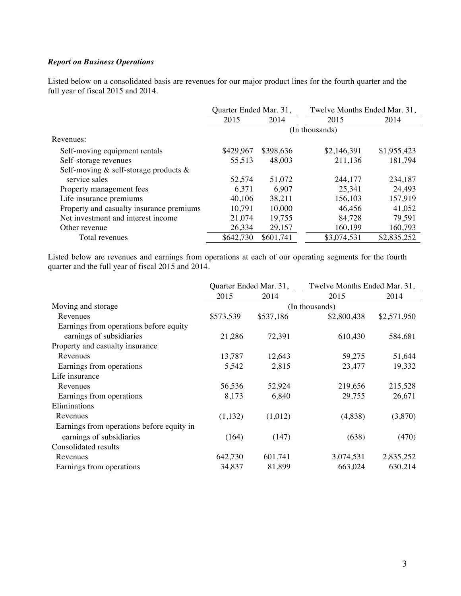#### *Report on Business Operations*

Listed below on a consolidated basis are revenues for our major product lines for the fourth quarter and the full year of fiscal 2015 and 2014.

|                                             | Quarter Ended Mar. 31, |           | Twelve Months Ended Mar. 31, |             |
|---------------------------------------------|------------------------|-----------|------------------------------|-------------|
|                                             | 2015                   | 2014      | 2015                         | 2014        |
|                                             |                        |           | (In thousands)               |             |
| Revenues:                                   |                        |           |                              |             |
| Self-moving equipment rentals               | \$429,967              | \$398,636 | \$2,146,391                  | \$1,955,423 |
| Self-storage revenues                       | 55,513                 | 48,003    | 211,136                      | 181,794     |
| Self-moving $\&$ self-storage products $\&$ |                        |           |                              |             |
| service sales                               | 52,574                 | 51,072    | 244,177                      | 234,187     |
| Property management fees                    | 6,371                  | 6,907     | 25,341                       | 24,493      |
| Life insurance premiums                     | 40,106                 | 38,211    | 156,103                      | 157,919     |
| Property and casualty insurance premiums    | 10,791                 | 10,000    | 46,456                       | 41,052      |
| Net investment and interest income          | 21,074                 | 19,755    | 84,728                       | 79,591      |
| Other revenue                               | 26,334                 | 29,157    | 160,199                      | 160,793     |
| Total revenues                              | \$642,730              | \$601,741 | \$3,074,531                  | \$2,835,252 |

Listed below are revenues and earnings from operations at each of our operating segments for the fourth quarter and the full year of fiscal 2015 and 2014.

|                                           |           | Quarter Ended Mar. 31, | Twelve Months Ended Mar. 31, |             |
|-------------------------------------------|-----------|------------------------|------------------------------|-------------|
|                                           | 2015      | 2014                   | 2015                         | 2014        |
| Moving and storage                        |           |                        | (In thousands)               |             |
| Revenues                                  | \$573,539 | \$537,186              | \$2,800,438                  | \$2,571,950 |
| Earnings from operations before equity    |           |                        |                              |             |
| earnings of subsidiaries                  | 21,286    | 72,391                 | 610,430                      | 584,681     |
| Property and casualty insurance           |           |                        |                              |             |
| Revenues                                  | 13,787    | 12,643                 | 59,275                       | 51,644      |
| Earnings from operations                  | 5,542     | 2,815                  | 23,477                       | 19,332      |
| Life insurance                            |           |                        |                              |             |
| Revenues                                  | 56,536    | 52,924                 | 219,656                      | 215,528     |
| Earnings from operations                  | 8,173     | 6,840                  | 29,755                       | 26,671      |
| Eliminations                              |           |                        |                              |             |
| Revenues                                  | (1,132)   | (1,012)                | (4,838)                      | (3,870)     |
| Earnings from operations before equity in |           |                        |                              |             |
| earnings of subsidiaries                  | (164)     | (147)                  | (638)                        | (470)       |
| Consolidated results                      |           |                        |                              |             |
| Revenues                                  | 642,730   | 601,741                | 3,074,531                    | 2,835,252   |
| Earnings from operations                  | 34,837    | 81,899                 | 663,024                      | 630,214     |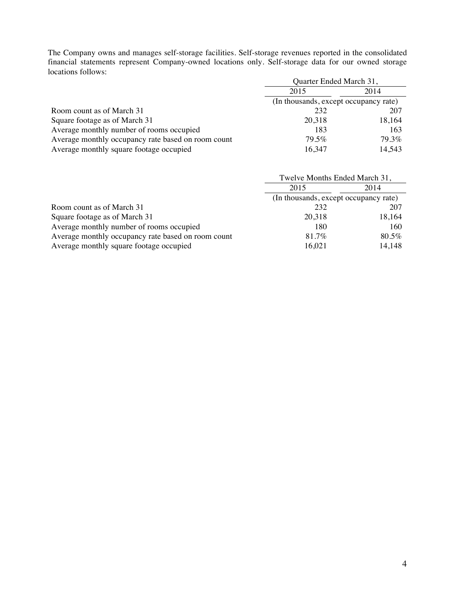The Company owns and manages self-storage facilities. Self-storage revenues reported in the consolidated financial statements represent Company-owned locations only. Self-storage data for our owned storage locations follows:

|                                                    | Quarter Ended March 31,               |        |
|----------------------------------------------------|---------------------------------------|--------|
|                                                    | 2015                                  | 2014   |
|                                                    | (In thousands, except occupancy rate) |        |
| Room count as of March 31                          | 232                                   | 207    |
| Square footage as of March 31                      | 20,318                                | 18,164 |
| Average monthly number of rooms occupied           | 183                                   | 163    |
| Average monthly occupancy rate based on room count | 79.5%                                 | 79.3%  |
| Average monthly square footage occupied            | 16,347                                | 14,543 |

|                                                    | Twelve Months Ended March 31,         |        |
|----------------------------------------------------|---------------------------------------|--------|
|                                                    | 2015                                  | 2014   |
|                                                    | (In thousands, except occupancy rate) |        |
| Room count as of March 31                          | 232                                   | 207    |
| Square footage as of March 31                      | 20,318                                | 18,164 |
| Average monthly number of rooms occupied           | 180                                   | 160    |
| Average monthly occupancy rate based on room count | 81.7%                                 | 80.5%  |
| Average monthly square footage occupied            | 16,021                                | 14,148 |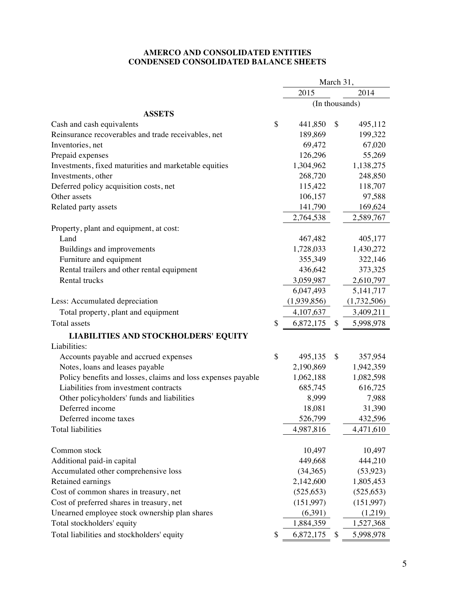#### **AMERCO AND CONSOLIDATED ENTITIES CONDENSED CONSOLIDATED BALANCE SHEETS**

|                                                              |                 | March 31, |                |
|--------------------------------------------------------------|-----------------|-----------|----------------|
|                                                              | 2015            |           | 2014           |
|                                                              |                 |           | (In thousands) |
| <b>ASSETS</b>                                                |                 |           |                |
| Cash and cash equivalents                                    | \$<br>441,850   | \$        | 495,112        |
| Reinsurance recoverables and trade receivables, net          | 189,869         |           | 199,322        |
| Inventories, net                                             | 69,472          |           | 67,020         |
| Prepaid expenses                                             | 126,296         |           | 55,269         |
| Investments, fixed maturities and marketable equities        | 1,304,962       |           | 1,138,275      |
| Investments, other                                           | 268,720         |           | 248,850        |
| Deferred policy acquisition costs, net                       | 115,422         |           | 118,707        |
| Other assets                                                 | 106,157         |           | 97,588         |
| Related party assets                                         | 141,790         |           | 169,624        |
|                                                              | 2,764,538       |           | 2,589,767      |
| Property, plant and equipment, at cost:                      |                 |           |                |
| Land                                                         | 467,482         |           | 405,177        |
| Buildings and improvements                                   | 1,728,033       |           | 1,430,272      |
| Furniture and equipment                                      | 355,349         |           | 322,146        |
| Rental trailers and other rental equipment                   | 436,642         |           | 373,325        |
| Rental trucks                                                | 3,059,987       |           | 2,610,797      |
|                                                              | 6,047,493       |           | 5, 141, 717    |
| Less: Accumulated depreciation                               | (1,939,856)     |           | (1,732,506)    |
| Total property, plant and equipment                          | 4, 107, 637     |           | 3,409,211      |
| Total assets                                                 | \$<br>6,872,175 | \$        | 5,998,978      |
| <b>LIABILITIES AND STOCKHOLDERS' EQUITY</b>                  |                 |           |                |
| Liabilities:                                                 |                 |           |                |
| Accounts payable and accrued expenses                        | \$<br>495,135   | \$        | 357,954        |
| Notes, loans and leases payable                              | 2,190,869       |           | 1,942,359      |
| Policy benefits and losses, claims and loss expenses payable | 1,062,188       |           | 1,082,598      |
| Liabilities from investment contracts                        | 685,745         |           | 616,725        |
| Other policyholders' funds and liabilities                   | 8,999           |           | 7,988          |
| Deferred income                                              | 18,081          |           | 31,390         |
| Deferred income taxes                                        | 526,799         |           | 432,596        |
| Total liabilities                                            | 4,987,816       |           | 4,471,610      |
|                                                              |                 |           |                |
| Common stock                                                 | 10,497          |           | 10,497         |
| Additional paid-in capital                                   | 449,668         |           | 444,210        |
| Accumulated other comprehensive loss                         | (34,365)        |           | (53, 923)      |
| Retained earnings                                            | 2,142,600       |           | 1,805,453      |
| Cost of common shares in treasury, net                       | (525, 653)      |           | (525, 653)     |
| Cost of preferred shares in treasury, net                    | (151,997)       |           | (151,997)      |
| Unearned employee stock ownership plan shares                | (6,391)         |           | (1,219)        |
| Total stockholders' equity                                   | 1,884,359       |           | 1,527,368      |
| Total liabilities and stockholders' equity                   | \$<br>6,872,175 | \$        | 5,998,978      |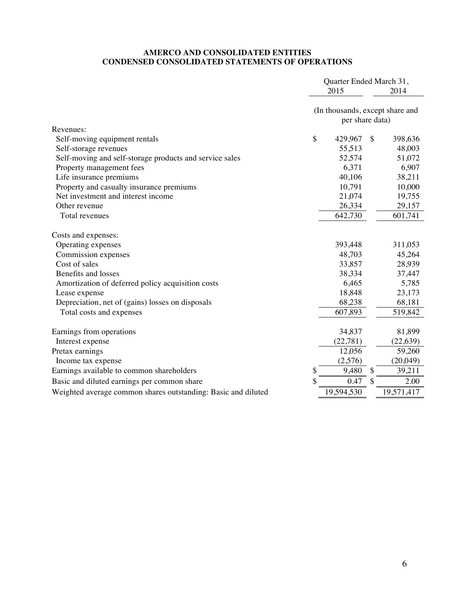#### **AMERCO AND CONSOLIDATED ENTITIES CONDENSED CONSOLIDATED STATEMENTS OF OPERATIONS**

|                                                                                     | Quarter Ended March 31,<br>2015 |                                                    | 2014                    |  |
|-------------------------------------------------------------------------------------|---------------------------------|----------------------------------------------------|-------------------------|--|
|                                                                                     |                                 | (In thousands, except share and<br>per share data) |                         |  |
| Revenues:                                                                           |                                 |                                                    |                         |  |
| Self-moving equipment rentals                                                       | \$                              | 429,967                                            | \$<br>398,636<br>48,003 |  |
| Self-storage revenues                                                               |                                 | 55,513<br>52,574                                   | 51,072                  |  |
| Self-moving and self-storage products and service sales<br>Property management fees |                                 | 6,371                                              | 6,907                   |  |
| Life insurance premiums                                                             |                                 | 40,106                                             | 38,211                  |  |
| Property and casualty insurance premiums                                            |                                 | 10,791                                             | 10,000                  |  |
| Net investment and interest income                                                  |                                 | 21,074                                             | 19,755                  |  |
| Other revenue                                                                       |                                 | 26,334                                             | 29,157                  |  |
| Total revenues                                                                      |                                 | 642,730                                            | 601,741                 |  |
| Costs and expenses:                                                                 |                                 |                                                    |                         |  |
| Operating expenses                                                                  |                                 | 393,448                                            | 311,053                 |  |
| Commission expenses                                                                 |                                 | 48,703                                             | 45,264                  |  |
| Cost of sales                                                                       |                                 | 33,857                                             | 28,939                  |  |
| Benefits and losses                                                                 |                                 | 38,334                                             | 37,447                  |  |
| Amortization of deferred policy acquisition costs                                   |                                 | 6,465                                              | 5,785                   |  |
| Lease expense                                                                       |                                 | 18,848                                             | 23,173                  |  |
| Depreciation, net of (gains) losses on disposals                                    |                                 | 68,238                                             | 68,181                  |  |
| Total costs and expenses                                                            |                                 | 607,893                                            | 519,842                 |  |
| Earnings from operations                                                            |                                 | 34,837                                             | 81,899                  |  |
| Interest expense                                                                    |                                 | (22, 781)                                          | (22, 639)               |  |
| Pretax earnings                                                                     |                                 | 12,056                                             | 59,260                  |  |
| Income tax expense                                                                  |                                 | (2,576)                                            | (20,049)                |  |
| Earnings available to common shareholders                                           | \$                              | 9,480                                              | \$<br>39,211            |  |
| Basic and diluted earnings per common share                                         |                                 | 0.47                                               | \$<br>2.00              |  |
| Weighted average common shares outstanding: Basic and diluted                       |                                 | 19,594,530                                         | 19,571,417              |  |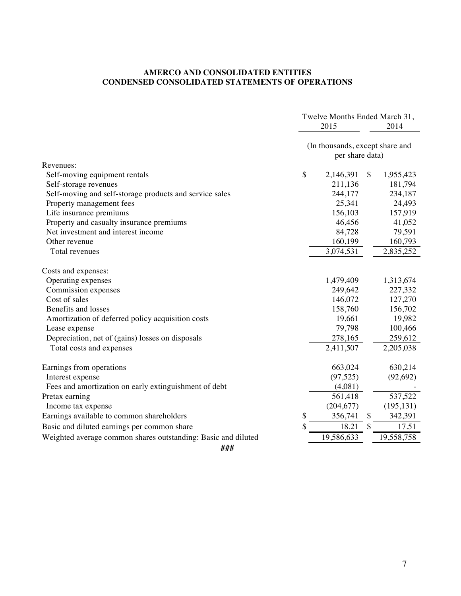## **AMERCO AND CONSOLIDATED ENTITIES CONDENSED CONSOLIDATED STATEMENTS OF OPERATIONS**

|                                                               | Twelve Months Ended March 31,                      |                 |
|---------------------------------------------------------------|----------------------------------------------------|-----------------|
|                                                               | 2015                                               | 2014            |
|                                                               | (In thousands, except share and<br>per share data) |                 |
| Revenues:                                                     |                                                    |                 |
| Self-moving equipment rentals                                 | \$<br>2,146,391                                    | \$<br>1,955,423 |
| Self-storage revenues                                         | 211,136                                            | 181,794         |
| Self-moving and self-storage products and service sales       | 244,177                                            | 234,187         |
| Property management fees                                      | 25,341                                             | 24,493          |
| Life insurance premiums                                       | 156,103                                            | 157,919         |
| Property and casualty insurance premiums                      | 46,456                                             | 41,052          |
| Net investment and interest income                            | 84,728                                             | 79,591          |
| Other revenue                                                 | 160,199                                            | 160,793         |
| Total revenues                                                | 3,074,531                                          | 2,835,252       |
| Costs and expenses:                                           |                                                    |                 |
| Operating expenses                                            | 1,479,409                                          | 1,313,674       |
| Commission expenses                                           | 249,642                                            | 227,332         |
| Cost of sales                                                 | 146,072                                            | 127,270         |
| Benefits and losses                                           | 158,760                                            | 156,702         |
| Amortization of deferred policy acquisition costs             | 19,661                                             | 19,982          |
| Lease expense                                                 | 79,798                                             | 100,466         |
| Depreciation, net of (gains) losses on disposals              | 278,165                                            | 259,612         |
| Total costs and expenses                                      | 2,411,507                                          | 2,205,038       |
|                                                               | 663,024                                            | 630,214         |
| Earnings from operations                                      | (97, 525)                                          |                 |
| Interest expense                                              |                                                    | (92, 692)       |
| Fees and amortization on early extinguishment of debt         | (4,081)                                            |                 |
| Pretax earning                                                | 561,418                                            | 537,522         |
| Income tax expense                                            | (204, 677)                                         | (195, 131)      |
| Earnings available to common shareholders                     | \$<br>356,741                                      | \$<br>342,391   |
| Basic and diluted earnings per common share                   | \$<br>18.21                                        | \$<br>17.51     |
| Weighted average common shares outstanding: Basic and diluted | 19,586,633                                         | 19,558,758      |
| ###                                                           |                                                    |                 |